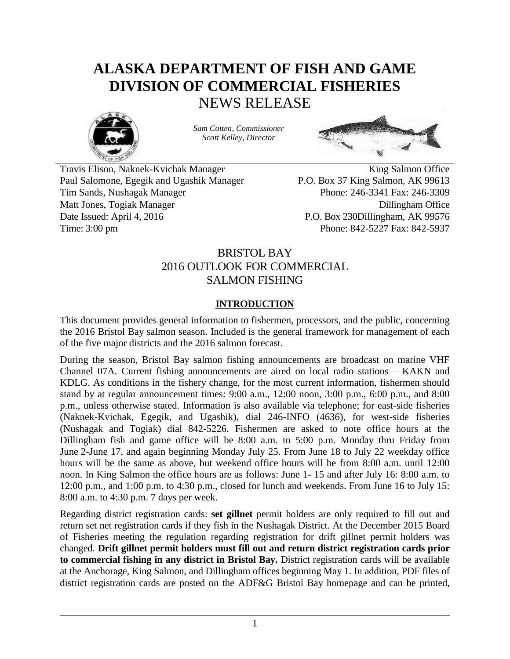# **ALASKA DEPARTMENT OF FISH AND GAME DIVISION OF COMMERCIAL FISHERIES** NEWS RELEASE



*Sam Cotten, Commissioner Scott Kelley, Director*



Travis Elison, Naknek-Kvichak Manager King Salmon Office Paul Salomone, Egegik and Ugashik Manager P.O. Box 37 King Salmon, AK 99613 Tim Sands, Nushagak Manager Phone: 246-3341 Fax: 246-3309 Matt Jones, Togiak Manager Dillingham Office Date Issued: April 4, 2016 P.O. Box 230Dillingham, AK 99576

Time: 3:00 pm Phone: 842-5227 Fax: 842-5937

# BRISTOL BAY 2016 OUTLOOK FOR COMMERCIAL SALMON FISHING

# **INTRODUCTION**

This document provides general information to fishermen, processors, and the public, concerning the 2016 Bristol Bay salmon season. Included is the general framework for management of each of the five major districts and the 2016 salmon forecast.

During the season, Bristol Bay salmon fishing announcements are broadcast on marine VHF Channel 07A. Current fishing announcements are aired on local radio stations – KAKN and KDLG. As conditions in the fishery change, for the most current information, fishermen should stand by at regular announcement times: 9:00 a.m., 12:00 noon, 3:00 p.m., 6:00 p.m., and 8:00 p.m., unless otherwise stated. Information is also available via telephone; for east-side fisheries (Naknek-Kvichak, Egegik, and Ugashik), dial 246-INFO (4636), for west-side fisheries (Nushagak and Togiak) dial 842-5226. Fishermen are asked to note office hours at the Dillingham fish and game office will be 8:00 a.m. to 5:00 p.m. Monday thru Friday from June 2-June 17, and again beginning Monday July 25. From June 18 to July 22 weekday office hours will be the same as above, but weekend office hours will be from 8:00 a.m. until 12:00 noon. In King Salmon the office hours are as follows: June 1- 15 and after July 16: 8:00 a.m. to 12:00 p.m., and 1:00 p.m. to 4:30 p.m., closed for lunch and weekends. From June 16 to July 15: 8:00 a.m. to 4:30 p.m. 7 days per week.

Regarding district registration cards: **set gillnet** permit holders are only required to fill out and return set net registration cards if they fish in the Nushagak District. At the December 2015 Board of Fisheries meeting the regulation regarding registration for drift gillnet permit holders was changed. **Drift gillnet permit holders must fill out and return district registration cards prior to commercial fishing in any district in Bristol Bay.** District registration cards will be available at the Anchorage, King Salmon, and Dillingham offices beginning May 1. In addition, PDF files of district registration cards are posted on the ADF&G Bristol Bay homepage and can be printed,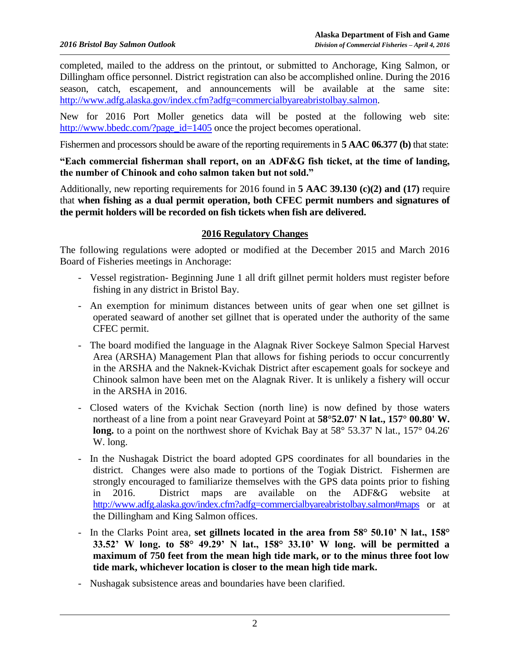completed, mailed to the address on the printout, or submitted to Anchorage, King Salmon, or Dillingham office personnel. District registration can also be accomplished online. During the 2016 season, catch, escapement, and announcements will be available at the same site: [http://www.adfg.alaska.gov/index.cfm?adfg=commercialbyareabristolbay.salmon.](http://www.adfg.alaska.gov/index.cfm?adfg=commercialbyareabristolbay.salmon)

New for 2016 Port Moller genetics data will be posted at the following web site: [http://www.bbedc.com/?page\\_id=1405](http://www.bbedc.com/?page_id=1405) once the project becomes operational.

Fishermen and processors should be aware of the reporting requirements in **5 AAC 06.377 (b)** that state:

#### **"Each commercial fisherman shall report, on an ADF&G fish ticket, at the time of landing, the number of Chinook and coho salmon taken but not sold."**

Additionally, new reporting requirements for 2016 found in **5 AAC 39.130 (c)(2) and (17)** require that **when fishing as a dual permit operation, both CFEC permit numbers and signatures of the permit holders will be recorded on fish tickets when fish are delivered.**

#### **2016 Regulatory Changes**

The following regulations were adopted or modified at the December 2015 and March 2016 Board of Fisheries meetings in Anchorage:

- Vessel registration- Beginning June 1 all drift gillnet permit holders must register before fishing in any district in Bristol Bay.
- An exemption for minimum distances between units of gear when one set gillnet is operated seaward of another set gillnet that is operated under the authority of the same CFEC permit.
- The board modified the language in the Alagnak River Sockeye Salmon Special Harvest Area (ARSHA) Management Plan that allows for fishing periods to occur concurrently in the ARSHA and the Naknek-Kvichak District after escapement goals for sockeye and Chinook salmon have been met on the Alagnak River. It is unlikely a fishery will occur in the ARSHA in 2016.
- Closed waters of the Kvichak Section (north line) is now defined by those waters northeast of a line from a point near Graveyard Point at **58°52.07' N lat., 157° 00.80' W. long.** to a point on the northwest shore of Kvichak Bay at 58° 53.37' N lat., 157° 04.26' W. long.
- In the Nushagak District the board adopted GPS coordinates for all boundaries in the district. Changes were also made to portions of the Togiak District. Fishermen are strongly encouraged to familiarize themselves with the GPS data points prior to fishing in 2016. District maps are available on the ADF&G website at <http://www.adfg.alaska.gov/index.cfm?adfg=commercialbyareabristolbay.salmon#maps> or at the Dillingham and King Salmon offices.
- In the Clarks Point area, **set gillnets located in the area from 58° 50.10' N lat., 158° 33.52' W long. to 58° 49.29' N lat., 158° 33.10' W long. will be permitted a maximum of 750 feet from the mean high tide mark, or to the minus three foot low tide mark, whichever location is closer to the mean high tide mark.**
- Nushagak subsistence areas and boundaries have been clarified.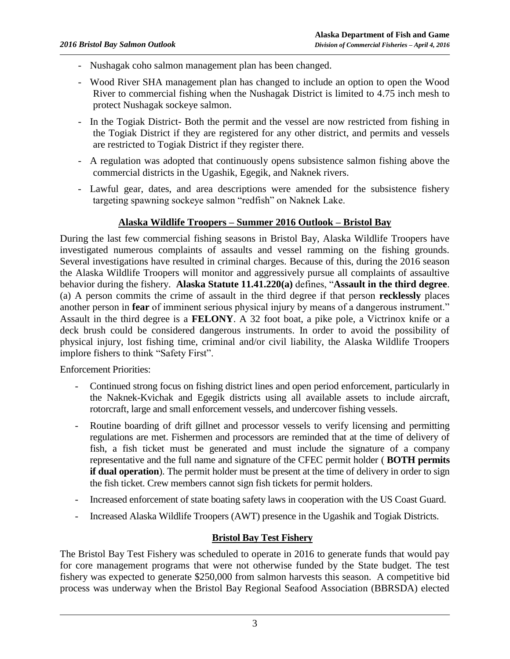- Nushagak coho salmon management plan has been changed.
- Wood River SHA management plan has changed to include an option to open the Wood River to commercial fishing when the Nushagak District is limited to 4.75 inch mesh to protect Nushagak sockeye salmon.
- In the Togiak District- Both the permit and the vessel are now restricted from fishing in the Togiak District if they are registered for any other district, and permits and vessels are restricted to Togiak District if they register there.
- A regulation was adopted that continuously opens subsistence salmon fishing above the commercial districts in the Ugashik, Egegik, and Naknek rivers.
- Lawful gear, dates, and area descriptions were amended for the subsistence fishery targeting spawning sockeye salmon "redfish" on Naknek Lake.

#### **Alaska Wildlife Troopers – Summer 2016 Outlook – Bristol Bay**

During the last few commercial fishing seasons in Bristol Bay, Alaska Wildlife Troopers have investigated numerous complaints of assaults and vessel ramming on the fishing grounds. Several investigations have resulted in criminal charges. Because of this, during the 2016 season the Alaska Wildlife Troopers will monitor and aggressively pursue all complaints of assaultive behavior during the fishery. **Alaska Statute 11.41.220(a)** defines, "**Assault in the third degree**. (a) A person commits the crime of assault in the third degree if that person **recklessly** places another person in **fear** of imminent serious physical injury by means of a dangerous instrument." Assault in the third degree is a **FELONY**. A 32 foot boat, a pike pole, a Victrinox knife or a deck brush could be considered dangerous instruments. In order to avoid the possibility of physical injury, lost fishing time, criminal and/or civil liability, the Alaska Wildlife Troopers implore fishers to think "Safety First".

Enforcement Priorities:

- Continued strong focus on fishing district lines and open period enforcement, particularly in the Naknek-Kvichak and Egegik districts using all available assets to include aircraft, rotorcraft, large and small enforcement vessels, and undercover fishing vessels.
- Routine boarding of drift gillnet and processor vessels to verify licensing and permitting regulations are met. Fishermen and processors are reminded that at the time of delivery of fish, a fish ticket must be generated and must include the signature of a company representative and the full name and signature of the CFEC permit holder ( **BOTH permits if dual operation**). The permit holder must be present at the time of delivery in order to sign the fish ticket. Crew members cannot sign fish tickets for permit holders.
- Increased enforcement of state boating safety laws in cooperation with the US Coast Guard.
- Increased Alaska Wildlife Troopers (AWT) presence in the Ugashik and Togiak Districts.

#### **Bristol Bay Test Fishery**

The Bristol Bay Test Fishery was scheduled to operate in 2016 to generate funds that would pay for core management programs that were not otherwise funded by the State budget. The test fishery was expected to generate \$250,000 from salmon harvests this season. A competitive bid process was underway when the Bristol Bay Regional Seafood Association (BBRSDA) elected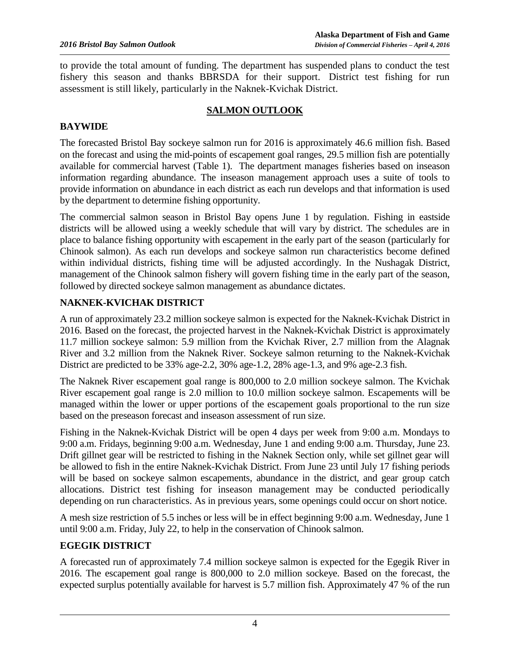to provide the total amount of funding. The department has suspended plans to conduct the test fishery this season and thanks BBRSDA for their support. District test fishing for run assessment is still likely, particularly in the Naknek-Kvichak District.

## **SALMON OUTLOOK**

## **BAYWIDE**

The forecasted Bristol Bay sockeye salmon run for 2016 is approximately 46.6 million fish. Based on the forecast and using the mid-points of escapement goal ranges, 29.5 million fish are potentially available for commercial harvest (Table 1). The department manages fisheries based on inseason information regarding abundance. The inseason management approach uses a suite of tools to provide information on abundance in each district as each run develops and that information is used by the department to determine fishing opportunity.

The commercial salmon season in Bristol Bay opens June 1 by regulation. Fishing in eastside districts will be allowed using a weekly schedule that will vary by district. The schedules are in place to balance fishing opportunity with escapement in the early part of the season (particularly for Chinook salmon). As each run develops and sockeye salmon run characteristics become defined within individual districts, fishing time will be adjusted accordingly. In the Nushagak District, management of the Chinook salmon fishery will govern fishing time in the early part of the season, followed by directed sockeye salmon management as abundance dictates.

## **NAKNEK-KVICHAK DISTRICT**

A run of approximately 23.2 million sockeye salmon is expected for the Naknek-Kvichak District in 2016. Based on the forecast, the projected harvest in the Naknek-Kvichak District is approximately 11.7 million sockeye salmon: 5.9 million from the Kvichak River, 2.7 million from the Alagnak River and 3.2 million from the Naknek River. Sockeye salmon returning to the Naknek-Kvichak District are predicted to be 33% age-2.2, 30% age-1.2, 28% age-1.3, and 9% age-2.3 fish.

The Naknek River escapement goal range is 800,000 to 2.0 million sockeye salmon. The Kvichak River escapement goal range is 2.0 million to 10.0 million sockeye salmon. Escapements will be managed within the lower or upper portions of the escapement goals proportional to the run size based on the preseason forecast and inseason assessment of run size.

Fishing in the Naknek-Kvichak District will be open 4 days per week from 9:00 a.m. Mondays to 9:00 a.m. Fridays, beginning 9:00 a.m. Wednesday, June 1 and ending 9:00 a.m. Thursday, June 23. Drift gillnet gear will be restricted to fishing in the Naknek Section only, while set gillnet gear will be allowed to fish in the entire Naknek-Kvichak District. From June 23 until July 17 fishing periods will be based on sockeye salmon escapements, abundance in the district, and gear group catch allocations. District test fishing for inseason management may be conducted periodically depending on run characteristics. As in previous years, some openings could occur on short notice.

A mesh size restriction of 5.5 inches or less will be in effect beginning 9:00 a.m. Wednesday, June 1 until 9:00 a.m. Friday, July 22, to help in the conservation of Chinook salmon.

## **EGEGIK DISTRICT**

A forecasted run of approximately 7.4 million sockeye salmon is expected for the Egegik River in 2016. The escapement goal range is 800,000 to 2.0 million sockeye. Based on the forecast, the expected surplus potentially available for harvest is 5.7 million fish. Approximately 47 % of the run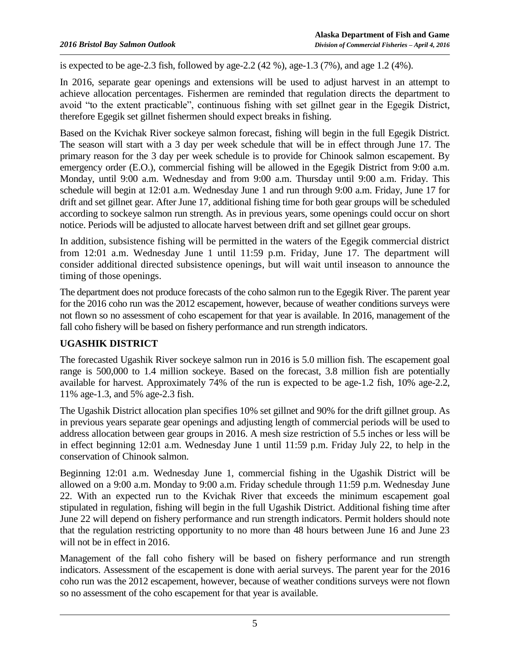is expected to be age-2.3 fish, followed by age-2.2  $(42\%)$ , age-1.3  $(7\%)$ , and age 1.2  $(4\%)$ .

In 2016, separate gear openings and extensions will be used to adjust harvest in an attempt to achieve allocation percentages. Fishermen are reminded that regulation directs the department to avoid "to the extent practicable", continuous fishing with set gillnet gear in the Egegik District, therefore Egegik set gillnet fishermen should expect breaks in fishing.

Based on the Kvichak River sockeye salmon forecast, fishing will begin in the full Egegik District. The season will start with a 3 day per week schedule that will be in effect through June 17. The primary reason for the 3 day per week schedule is to provide for Chinook salmon escapement. By emergency order (E.O.), commercial fishing will be allowed in the Egegik District from 9:00 a.m. Monday, until 9:00 a.m. Wednesday and from 9:00 a.m. Thursday until 9:00 a.m. Friday. This schedule will begin at 12:01 a.m. Wednesday June 1 and run through 9:00 a.m. Friday, June 17 for drift and set gillnet gear. After June 17, additional fishing time for both gear groups will be scheduled according to sockeye salmon run strength. As in previous years, some openings could occur on short notice. Periods will be adjusted to allocate harvest between drift and set gillnet gear groups.

In addition, subsistence fishing will be permitted in the waters of the Egegik commercial district from 12:01 a.m. Wednesday June 1 until 11:59 p.m. Friday, June 17. The department will consider additional directed subsistence openings, but will wait until inseason to announce the timing of those openings.

The department does not produce forecasts of the coho salmon run to the Egegik River. The parent year for the 2016 coho run was the 2012 escapement, however, because of weather conditions surveys were not flown so no assessment of coho escapement for that year is available. In 2016, management of the fall coho fishery will be based on fishery performance and run strength indicators.

## **UGASHIK DISTRICT**

The forecasted Ugashik River sockeye salmon run in 2016 is 5.0 million fish. The escapement goal range is 500,000 to 1.4 million sockeye. Based on the forecast, 3.8 million fish are potentially available for harvest. Approximately 74% of the run is expected to be age-1.2 fish, 10% age-2.2, 11% age-1.3, and 5% age-2.3 fish.

The Ugashik District allocation plan specifies 10% set gillnet and 90% for the drift gillnet group. As in previous years separate gear openings and adjusting length of commercial periods will be used to address allocation between gear groups in 2016. A mesh size restriction of 5.5 inches or less will be in effect beginning 12:01 a.m. Wednesday June 1 until 11:59 p.m. Friday July 22, to help in the conservation of Chinook salmon.

Beginning 12:01 a.m. Wednesday June 1, commercial fishing in the Ugashik District will be allowed on a 9:00 a.m. Monday to 9:00 a.m. Friday schedule through 11:59 p.m. Wednesday June 22. With an expected run to the Kvichak River that exceeds the minimum escapement goal stipulated in regulation, fishing will begin in the full Ugashik District. Additional fishing time after June 22 will depend on fishery performance and run strength indicators. Permit holders should note that the regulation restricting opportunity to no more than 48 hours between June 16 and June 23 will not be in effect in 2016.

Management of the fall coho fishery will be based on fishery performance and run strength indicators. Assessment of the escapement is done with aerial surveys. The parent year for the 2016 coho run was the 2012 escapement, however, because of weather conditions surveys were not flown so no assessment of the coho escapement for that year is available.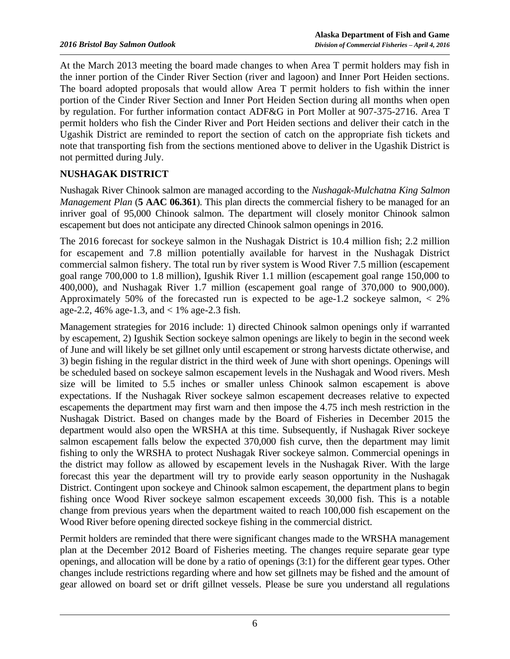At the March 2013 meeting the board made changes to when Area T permit holders may fish in the inner portion of the Cinder River Section (river and lagoon) and Inner Port Heiden sections. The board adopted proposals that would allow Area T permit holders to fish within the inner portion of the Cinder River Section and Inner Port Heiden Section during all months when open by regulation. For further information contact ADF&G in Port Moller at 907-375-2716. Area T permit holders who fish the Cinder River and Port Heiden sections and deliver their catch in the Ugashik District are reminded to report the section of catch on the appropriate fish tickets and note that transporting fish from the sections mentioned above to deliver in the Ugashik District is not permitted during July.

# **NUSHAGAK DISTRICT**

Nushagak River Chinook salmon are managed according to the *Nushagak-Mulchatna King Salmon Management Plan* (**5 AAC 06.361**). This plan directs the commercial fishery to be managed for an inriver goal of 95,000 Chinook salmon. The department will closely monitor Chinook salmon escapement but does not anticipate any directed Chinook salmon openings in 2016.

The 2016 forecast for sockeye salmon in the Nushagak District is 10.4 million fish; 2.2 million for escapement and 7.8 million potentially available for harvest in the Nushagak District commercial salmon fishery. The total run by river system is Wood River 7.5 million (escapement goal range 700,000 to 1.8 million), Igushik River 1.1 million (escapement goal range 150,000 to 400,000), and Nushagak River 1.7 million (escapement goal range of 370,000 to 900,000). Approximately 50% of the forecasted run is expected to be age-1.2 sockeye salmon,  $\langle 2\% \rangle$ age-2.2, 46% age-1.3, and < 1% age-2.3 fish.

Management strategies for 2016 include: 1) directed Chinook salmon openings only if warranted by escapement, 2) Igushik Section sockeye salmon openings are likely to begin in the second week of June and will likely be set gillnet only until escapement or strong harvests dictate otherwise, and 3) begin fishing in the regular district in the third week of June with short openings. Openings will be scheduled based on sockeye salmon escapement levels in the Nushagak and Wood rivers. Mesh size will be limited to 5.5 inches or smaller unless Chinook salmon escapement is above expectations. If the Nushagak River sockeye salmon escapement decreases relative to expected escapements the department may first warn and then impose the 4.75 inch mesh restriction in the Nushagak District. Based on changes made by the Board of Fisheries in December 2015 the department would also open the WRSHA at this time. Subsequently, if Nushagak River sockeye salmon escapement falls below the expected 370,000 fish curve, then the department may limit fishing to only the WRSHA to protect Nushagak River sockeye salmon. Commercial openings in the district may follow as allowed by escapement levels in the Nushagak River. With the large forecast this year the department will try to provide early season opportunity in the Nushagak District. Contingent upon sockeye and Chinook salmon escapement, the department plans to begin fishing once Wood River sockeye salmon escapement exceeds 30,000 fish. This is a notable change from previous years when the department waited to reach 100,000 fish escapement on the Wood River before opening directed sockeye fishing in the commercial district.

Permit holders are reminded that there were significant changes made to the WRSHA management plan at the December 2012 Board of Fisheries meeting. The changes require separate gear type openings, and allocation will be done by a ratio of openings (3:1) for the different gear types. Other changes include restrictions regarding where and how set gillnets may be fished and the amount of gear allowed on board set or drift gillnet vessels. Please be sure you understand all regulations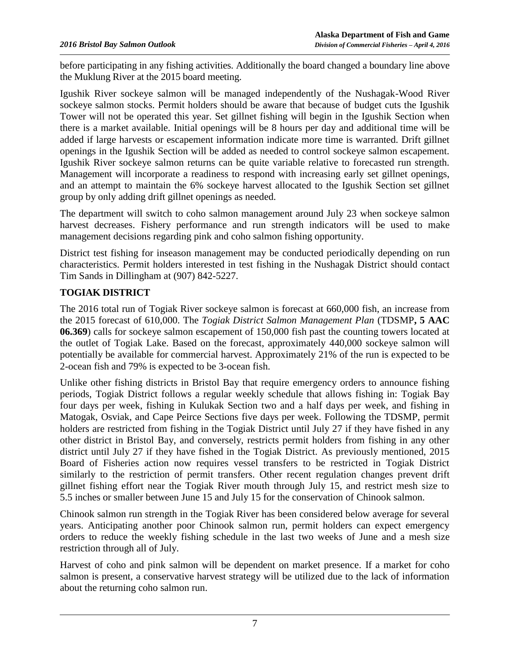before participating in any fishing activities. Additionally the board changed a boundary line above the Muklung River at the 2015 board meeting.

Igushik River sockeye salmon will be managed independently of the Nushagak-Wood River sockeye salmon stocks. Permit holders should be aware that because of budget cuts the Igushik Tower will not be operated this year. Set gillnet fishing will begin in the Igushik Section when there is a market available. Initial openings will be 8 hours per day and additional time will be added if large harvests or escapement information indicate more time is warranted. Drift gillnet openings in the Igushik Section will be added as needed to control sockeye salmon escapement. Igushik River sockeye salmon returns can be quite variable relative to forecasted run strength. Management will incorporate a readiness to respond with increasing early set gillnet openings, and an attempt to maintain the 6% sockeye harvest allocated to the Igushik Section set gillnet group by only adding drift gillnet openings as needed.

The department will switch to coho salmon management around July 23 when sockeye salmon harvest decreases. Fishery performance and run strength indicators will be used to make management decisions regarding pink and coho salmon fishing opportunity.

District test fishing for inseason management may be conducted periodically depending on run characteristics. Permit holders interested in test fishing in the Nushagak District should contact Tim Sands in Dillingham at (907) 842-5227.

## **TOGIAK DISTRICT**

The 2016 total run of Togiak River sockeye salmon is forecast at 660,000 fish, an increase from the 2015 forecast of 610,000. The *Togiak District Salmon Management Plan* (TDSMP**, 5 AAC 06.369**) calls for sockeye salmon escapement of 150,000 fish past the counting towers located at the outlet of Togiak Lake. Based on the forecast, approximately 440,000 sockeye salmon will potentially be available for commercial harvest. Approximately 21% of the run is expected to be 2-ocean fish and 79% is expected to be 3-ocean fish.

Unlike other fishing districts in Bristol Bay that require emergency orders to announce fishing periods, Togiak District follows a regular weekly schedule that allows fishing in: Togiak Bay four days per week, fishing in Kulukak Section two and a half days per week, and fishing in Matogak, Osviak, and Cape Peirce Sections five days per week. Following the TDSMP, permit holders are restricted from fishing in the Togiak District until July 27 if they have fished in any other district in Bristol Bay, and conversely, restricts permit holders from fishing in any other district until July 27 if they have fished in the Togiak District. As previously mentioned, 2015 Board of Fisheries action now requires vessel transfers to be restricted in Togiak District similarly to the restriction of permit transfers. Other recent regulation changes prevent drift gillnet fishing effort near the Togiak River mouth through July 15, and restrict mesh size to 5.5 inches or smaller between June 15 and July 15 for the conservation of Chinook salmon.

Chinook salmon run strength in the Togiak River has been considered below average for several years. Anticipating another poor Chinook salmon run, permit holders can expect emergency orders to reduce the weekly fishing schedule in the last two weeks of June and a mesh size restriction through all of July.

Harvest of coho and pink salmon will be dependent on market presence. If a market for coho salmon is present, a conservative harvest strategy will be utilized due to the lack of information about the returning coho salmon run.